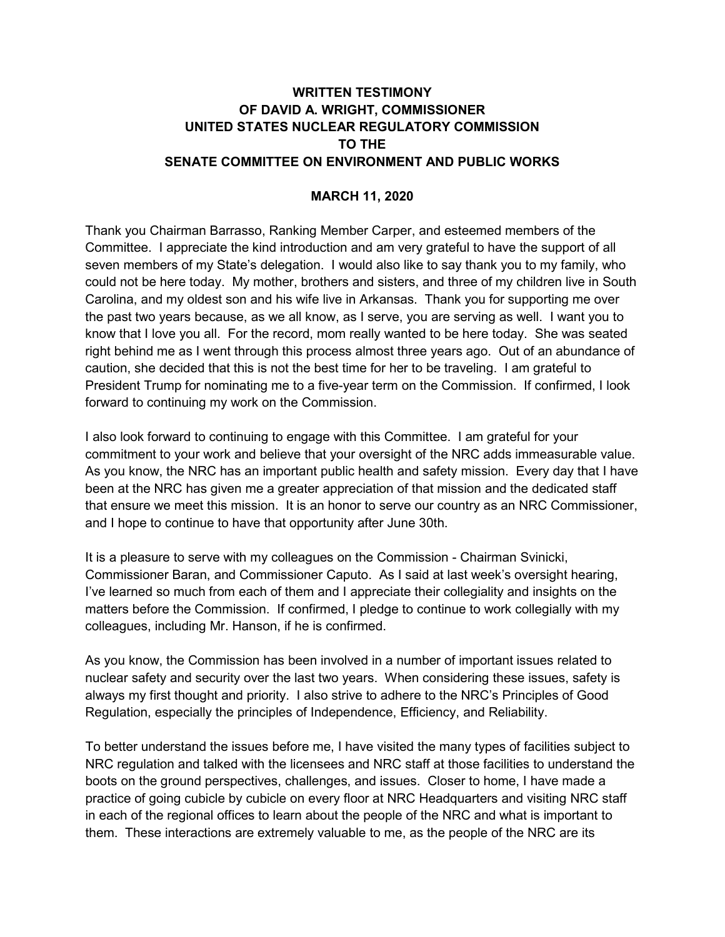## **WRITTEN TESTIMONY OF DAVID A. WRIGHT, COMMISSIONER UNITED STATES NUCLEAR REGULATORY COMMISSION TO THE SENATE COMMITTEE ON ENVIRONMENT AND PUBLIC WORKS**

## **MARCH 11, 2020**

Thank you Chairman Barrasso, Ranking Member Carper, and esteemed members of the Committee. I appreciate the kind introduction and am very grateful to have the support of all seven members of my State's delegation. I would also like to say thank you to my family, who could not be here today. My mother, brothers and sisters, and three of my children live in South Carolina, and my oldest son and his wife live in Arkansas. Thank you for supporting me over the past two years because, as we all know, as I serve, you are serving as well. I want you to know that I love you all. For the record, mom really wanted to be here today. She was seated right behind me as I went through this process almost three years ago. Out of an abundance of caution, she decided that this is not the best time for her to be traveling. I am grateful to President Trump for nominating me to a five-year term on the Commission. If confirmed, I look forward to continuing my work on the Commission.

I also look forward to continuing to engage with this Committee. I am grateful for your commitment to your work and believe that your oversight of the NRC adds immeasurable value. As you know, the NRC has an important public health and safety mission. Every day that I have been at the NRC has given me a greater appreciation of that mission and the dedicated staff that ensure we meet this mission. It is an honor to serve our country as an NRC Commissioner, and I hope to continue to have that opportunity after June 30th.

It is a pleasure to serve with my colleagues on the Commission - Chairman Svinicki, Commissioner Baran, and Commissioner Caputo. As I said at last week's oversight hearing, I've learned so much from each of them and I appreciate their collegiality and insights on the matters before the Commission. If confirmed, I pledge to continue to work collegially with my colleagues, including Mr. Hanson, if he is confirmed.

As you know, the Commission has been involved in a number of important issues related to nuclear safety and security over the last two years. When considering these issues, safety is always my first thought and priority. I also strive to adhere to the NRC's Principles of Good Regulation, especially the principles of Independence, Efficiency, and Reliability.

To better understand the issues before me, I have visited the many types of facilities subject to NRC regulation and talked with the licensees and NRC staff at those facilities to understand the boots on the ground perspectives, challenges, and issues. Closer to home, I have made a practice of going cubicle by cubicle on every floor at NRC Headquarters and visiting NRC staff in each of the regional offices to learn about the people of the NRC and what is important to them. These interactions are extremely valuable to me, as the people of the NRC are its